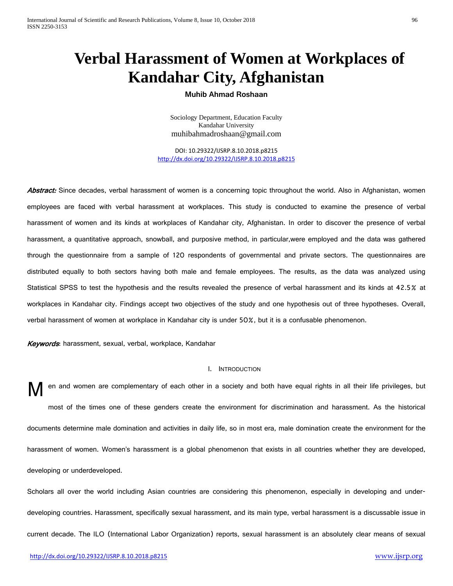# **Verbal Harassment of Women at Workplaces of Kandahar City, Afghanistan**

# **Muhib Ahmad Roshaan**

Sociology Department, Education Faculty Kandahar University [muhibahmadroshaan@gmail.com](mailto:muhibahmadroshaan@gmail.com)

DOI: 10.29322/IJSRP.8.10.2018.p8215 <http://dx.doi.org/10.29322/IJSRP.8.10.2018.p8215>

Abstract: Since decades, verbal harassment of women is a concerning topic throughout the world. Also in Afghanistan, women employees are faced with verbal harassment at workplaces. This study is conducted to examine the presence of verbal harassment of women and its kinds at workplaces of Kandahar city, Afghanistan. In order to discover the presence of verbal harassment, a quantitative approach, snowball, and purposive method, in particular,were employed and the data was gathered through the questionnaire from a sample of 120 respondents of governmental and private sectors. The questionnaires are distributed equally to both sectors having both male and female employees. The results, as the data was analyzed using Statistical SPSS to test the hypothesis and the results revealed the presence of verbal harassment and its kinds at 42.5% at workplaces in Kandahar city. Findings accept two objectives of the study and one hypothesis out of three hypotheses. Overall, verbal harassment of women at workplace in Kandahar city is under 50%, but it is a confusable phenomenon.

Keywords: harassment, sexual, verbal, workplace, Kandahar

#### I. INTRODUCTION

en and women are complementary of each other in a society and both have equal rights in all their life privileges, but most of the times one of these genders create the environment for discrimination and harassment. As the historical documents determine male domination and activities in daily life, so in most era, male domination create the environment for the harassment of women. Women's harassment is a global phenomenon that exists in all countries whether they are developed, developing or underdeveloped. M

Scholars all over the world including Asian countries are considering this phenomenon, especially in developing and underdeveloping countries. Harassment, specifically sexual harassment, and its main type, verbal harassment is a discussable issue in current decade. The ILO (International Labor Organization) reports, sexual harassment is an absolutely clear means of sexual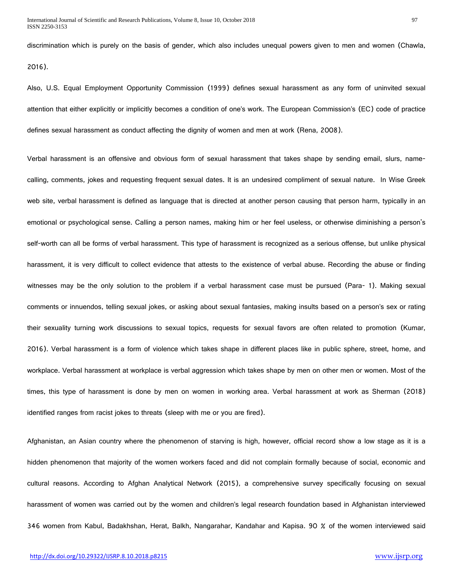discrimination which is purely on the basis of gender, which also includes unequal powers given to men and women (Chawla,

2016).

Also, U.S. Equal Employment Opportunity Commission (1999) defines sexual harassment as any form of uninvited sexual attention that either explicitly or implicitly becomes a condition of one's work. The European Commission's (EC) code of practice defines sexual harassment as conduct affecting the dignity of women and men at work (Rena, 2008).

Verbal harassment is an offensive and obvious form of sexual harassment that takes shape by sending email, slurs, namecalling, comments, jokes and requesting frequent sexual dates. It is an undesired compliment of sexual nature. In Wise Greek web site, verbal [harassment](https://www.wisegeek.com/what-are-the-different-types-of-harassment.htm) is defined as language that is directed at another person causing that person harm, typically in an emotional or psychological sense. Calling a person names, making him or her feel useless, or otherwise diminishing a person's self-worth can all be forms of verbal harassment. This type of harassment is recognized as a serious offense, but unlike physical harassment, it is very difficult to collect evidence that attests to the existence of verbal abuse. Recording the abuse or finding witnesses may be the only solution to the problem if a verbal harassment case must be pursued (Para- 1). Making sexual comments or innuendos, telling sexual jokes, or asking about sexual fantasies, making insults based on a person's sex or rating their sexuality turning work discussions to sexual topics, requests for sexual favors are often related to promotion (Kumar, 2016). Verbal harassment is a form of violence which takes shape in different places like in public sphere, street, home, and workplace. Verbal harassment at workplace is verbal aggression which takes shape by men on other men or women. Most of the times, this type of harassment is done by men on women in working area. Verbal harassment at work as Sherman (2018) identified ranges from racist jokes to threats (sleep with me or you are fired).

Afghanistan, an Asian country where the phenomenon of starving is high, however, official record show a low stage as it is a hidden phenomenon that majority of the women workers faced and did not complain formally because of social, economic and cultural reasons. According to Afghan Analytical Network (2015), a comprehensive survey specifically focusing on sexual harassment of women was carried out by the women and children's legal research foundation based in Afghanistan interviewed 346 women from Kabul, Badakhshan, Herat, Balkh, Nangarahar, Kandahar and Kapisa. 90 % of the women interviewed said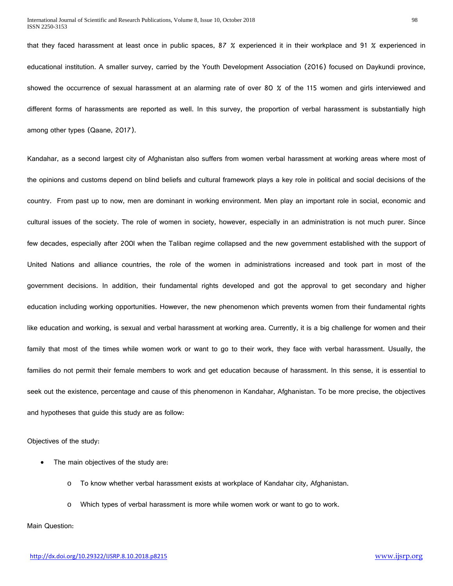that they faced harassment at least once in public spaces, 87 % experienced it in their workplace and 91 % experienced in educational institution. A smaller survey, carried by the Youth Development Association (2016) focused on Daykundi province, showed the occurrence of sexual harassment at an alarming rate of over 80 % of the 115 women and girls interviewed and different forms of harassments are reported as well. In this survey, the proportion of verbal harassment is substantially high among other types (Qaane, 2017).

Kandahar, as a second largest city of Afghanistan also suffers from women verbal harassment at working areas where most of the opinions and customs depend on blind beliefs and cultural framework plays a key role in political and social decisions of the country. From past up to now, men are dominant in working environment. Men play an important role in social, economic and cultural issues of the society. The role of women in society, however, especially in an administration is not much purer. Since few decades, especially after 200l when the Taliban regime collapsed and the new government established with the support of United Nations and alliance countries, the role of the women in administrations increased and took part in most of the government decisions. In addition, their fundamental rights developed and got the approval to get secondary and higher education including working opportunities. However, the new phenomenon which prevents women from their fundamental rights like education and working, is sexual and verbal harassment at working area. Currently, it is a big challenge for women and their family that most of the times while women work or want to go to their work, they face with verbal harassment. Usually, the families do not permit their female members to work and get education because of harassment. In this sense, it is essential to seek out the existence, percentage and cause of this phenomenon in Kandahar, Afghanistan. To be more precise, the objectives and hypotheses that guide this study are as follow:

Objectives of the study:

- The main objectives of the study are:
	- o To know whether verbal harassment exists at workplace of Kandahar city, Afghanistan.
	- o Which types of verbal harassment is more while women work or want to go to work.

Main Question: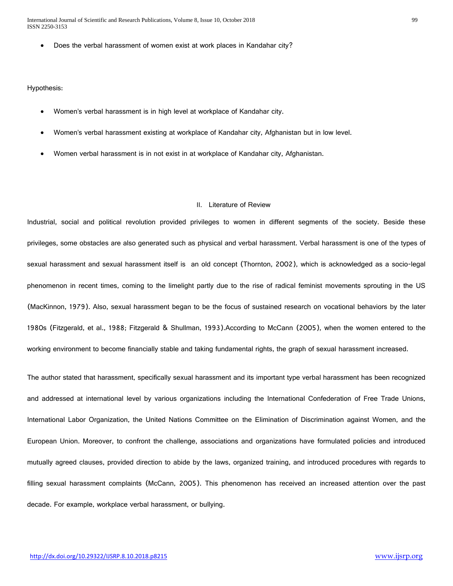• Does the verbal harassment of women exist at work places in Kandahar city?

#### Hypothesis:

- Women's verbal harassment is in high level at workplace of Kandahar city.
- Women's verbal harassment existing at workplace of Kandahar city, Afghanistan but in low level.
- Women verbal harassment is in not exist in at workplace of Kandahar city, Afghanistan.

#### II. Literature of Review

Industrial, social and political revolution provided privileges to women in different segments of the society. Beside these privileges, some obstacles are also generated such as physical and verbal harassment. Verbal harassment is one of the types of sexual harassment and sexual harassment itself is an old concept (Thornton, 2002), which is acknowledged as a socio-legal phenomenon in recent times, coming to the limelight partly due to the rise of radical feminist movements sprouting in the US (MacKinnon, 1979). Also, sexual harassment began to be the focus of sustained research on vocational behaviors by the later 1980s (Fitzgerald, et al., 1988; Fitzgerald & Shullman, 1993).According to McCann (2005), when the women entered to the working environment to become financially stable and taking fundamental rights, the graph of sexual harassment increased.

The author stated that harassment, specifically sexual harassment and its important type verbal harassment has been recognized and addressed at international level by various organizations including the International Confederation of Free Trade Unions, International Labor Organization, the United Nations Committee on the Elimination of Discrimination against Women, and the European Union. Moreover, to confront the challenge, associations and organizations have formulated policies and introduced mutually agreed clauses, provided direction to abide by the laws, organized training, and introduced procedures with regards to filling sexual harassment complaints (McCann, 2005). This phenomenon has received an increased attention over the past decade. For example, workplace verbal harassment, or bullying.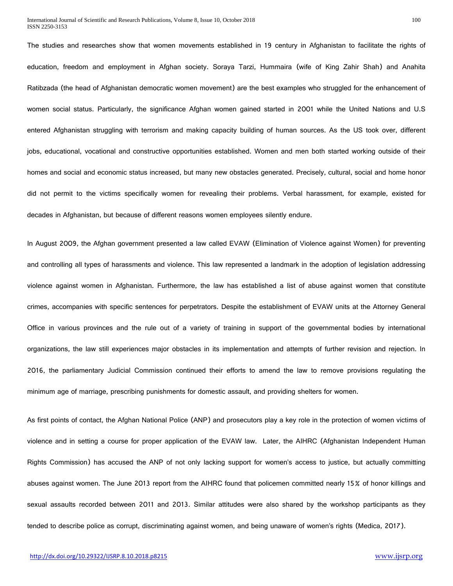The studies and researches show that women movements established in 19 century in Afghanistan to facilitate the rights of education, freedom and employment in Afghan society. Soraya Tarzi, Hummaira (wife of King Zahir Shah) and Anahita Ratibzada (the head of Afghanistan democratic women movement) are the best examples who struggled for the enhancement of women social status. Particularly, the significance Afghan women gained started in 2001 while the United Nations and U.S entered Afghanistan struggling with terrorism and making capacity building of human sources. As the US took over, different jobs, educational, vocational and constructive opportunities established. Women and men both started working outside of their homes and social and economic status increased, but many new obstacles generated. Precisely, cultural, social and home honor did not permit to the victims specifically women for revealing their problems. Verbal harassment, for example, existed for decades in Afghanistan, but because of different reasons women employees silently endure.

In August 2009, the Afghan government presented a law called EVAW (Elimination of Violence against Women) for preventing and controlling all types of harassments and violence. This law represented a landmark in the adoption of legislation addressing violence against women in Afghanistan. Furthermore, the law has established a list of abuse against women that constitute crimes, accompanies with specific sentences for perpetrators. Despite the establishment of EVAW units at the Attorney General Office in various provinces and the rule out of a variety of training in support of the governmental bodies by international organizations, the law still experiences major obstacles in its implementation and attempts of further revision and rejection. In 2016, the parliamentary Judicial Commission continued their efforts to amend the law to remove provisions regulating the minimum age of marriage, prescribing punishments for domestic assault, and providing shelters for women.

As first points of contact, the Afghan National Police (ANP) and prosecutors play a key role in the protection of women victims of violence and in setting a course for proper application of the EVAW law. Later, the AIHRC (Afghanistan Independent Human Rights Commission) has accused the ANP of not only lacking support for women's access to justice, but actually committing abuses against women. The June 2013 report from the AIHRC found that policemen committed nearly 15% of honor killings and sexual assaults recorded between 2011 and 2013. Similar attitudes were also shared by the workshop participants as they tended to describe police as corrupt, discriminating against women, and being unaware of women's rights (Medica, 2017).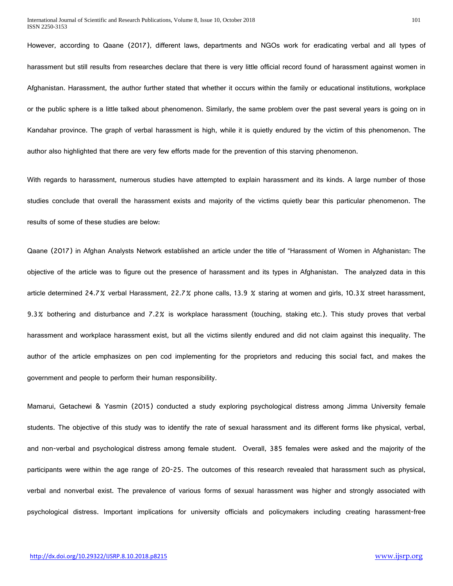However, according to Qaane (2017), different laws, departments and NGOs work for eradicating verbal and all types of harassment but still results from researches declare that there is very little official record found of harassment against women in Afghanistan. Harassment, the author further stated that whether it occurs within the family or educational institutions, workplace or the public sphere is a little talked about phenomenon. Similarly, the same problem over the past several years is going on in Kandahar province. The graph of verbal harassment is high, while it is quietly endured by the victim of this phenomenon. The author also highlighted that there are very few efforts made for the prevention of this starving phenomenon.

With regards to harassment, numerous studies have attempted to explain harassment and its kinds. A large number of those studies conclude that overall the harassment exists and majority of the victims quietly bear this particular phenomenon. The results of some of these studies are below:

Qaane (2017) in Afghan Analysts Network established an article under the title of "Harassment of Women in Afghanistan: The objective of the article was to figure out the presence of harassment and its types in Afghanistan. The analyzed data in this article determined 24.7% verbal Harassment, 22.7% phone calls, 13.9 % staring at women and girls, 10.3% street harassment, 9.3% bothering and disturbance and 7.2% is workplace harassment (touching, staking etc.). This study proves that verbal harassment and workplace harassment exist, but all the victims silently endured and did not claim against this inequality. The author of the article emphasizes on pen cod implementing for the proprietors and reducing this social fact, and makes the government and people to perform their human responsibility.

Mamarui, Getachewi & Yasmin (2015) conducted a study exploring psychological distress among Jimma University female students. The objective of this study was to identify the rate of sexual harassment and its different forms like physical, verbal, and non-verbal and psychological distress among female student. Overall, 385 females were asked and the majority of the participants were within the age range of 20-25. The outcomes of this research revealed that harassment such as physical, verbal and nonverbal exist. The prevalence of various forms of sexual harassment was higher and strongly associated with psychological distress. Important implications for university officials and policymakers including creating harassment-free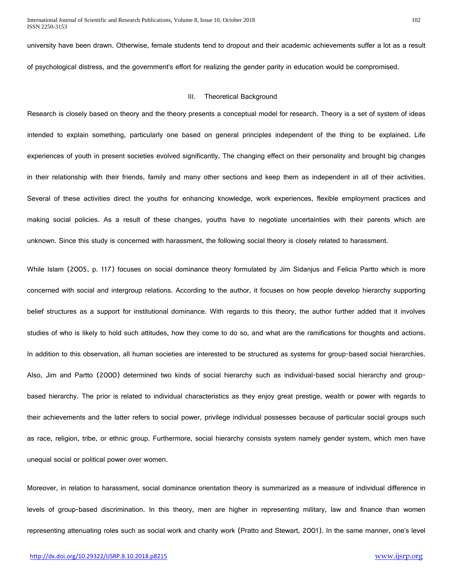university have been drawn. Otherwise, female students tend to dropout and their academic achievements suffer a lot as a result of psychological distress, and the government's effort for realizing the gender parity in education would be compromised.

#### III. Theoretical Background

Research is closely based on theory and the theory presents a conceptual model for research. Theory is a set of system of ideas intended to explain something, particularly one based on general principles independent of the thing to be explained. Life experiences of youth in present societies evolved significantly. The changing effect on their personality and brought big changes in their relationship with their friends, family and many other sections and keep them as independent in all of their activities. Several of these activities direct the youths for enhancing knowledge, work experiences, flexible employment practices and making social policies. As a result of these changes, youths have to negotiate uncertainties with their parents which are unknown. Since this study is concerned with harassment, the following social theory is closely related to harassment.

While Islam (2005, p. 117) focuses on social dominance theory formulated by Jim Sidanjus and Felicia Partto which is more concerned with social and intergroup relations. According to the author, it focuses on how people develop hierarchy supporting belief structures as a support for institutional dominance. With regards to this theory, the author further added that it involves studies of who is likely to hold such attitudes, how they come to do so, and what are the ramifications for thoughts and actions. In addition to this observation, all human societies are interested to be structured as systems for group-based social hierarchies. Also, Jim and Partto (2000) determined two kinds of social hierarchy such as individual-based social hierarchy and groupbased hierarchy. The prior is related to individual characteristics as they enjoy great prestige, wealth or power with regards to their achievements and the latter refers to social power, privilege individual possesses because of particular social groups such as race, religion, tribe, or ethnic group. Furthermore, social hierarchy consists system namely gender system, which men have unequal social or political power over women.

Moreover, in relation to harassment, social dominance orientation theory is summarized as a measure of individual difference in levels of group-based discrimination. In this theory, men are higher in representing military, law and finance than women representing attenuating roles such as social work and charity work (Pratto and Stewart, 2001). In the same manner, one's level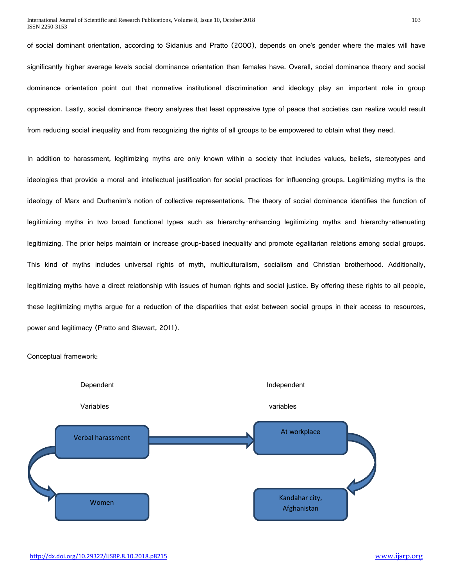of social dominant orientation, according to Sidanius and Pratto (2000), depends on one's gender where the males will have significantly higher average levels social dominance orientation than females have. Overall, social dominance theory and social dominance orientation point out that normative institutional discrimination and ideology play an important role in group oppression. Lastly, social dominance theory analyzes that least oppressive type of peace that societies can realize would result from reducing social inequality and from recognizing the rights of all groups to be empowered to obtain what they need.

In addition to harassment, legitimizing myths are only known within a society that includes values, beliefs, stereotypes and ideologies that provide a moral and intellectual justification for social practices for influencing groups. Legitimizing myths is the ideology of Marx and Durhenim's notion of collective representations. The theory of social dominance identifies the function of legitimizing myths in two broad functional types such as hierarchy-enhancing legitimizing myths and hierarchy-attenuating legitimizing. The prior helps maintain or increase group-based inequality and promote egalitarian relations among social groups. This kind of myths includes universal rights of myth, multiculturalism, socialism and Christian brotherhood. Additionally, legitimizing myths have a direct relationship with issues of human rights and social justice. By offering these rights to all people, these legitimizing myths argue for a reduction of the disparities that exist between social groups in their access to resources, power and legitimacy (Pratto and Stewart, 2011).



Conceptual framework: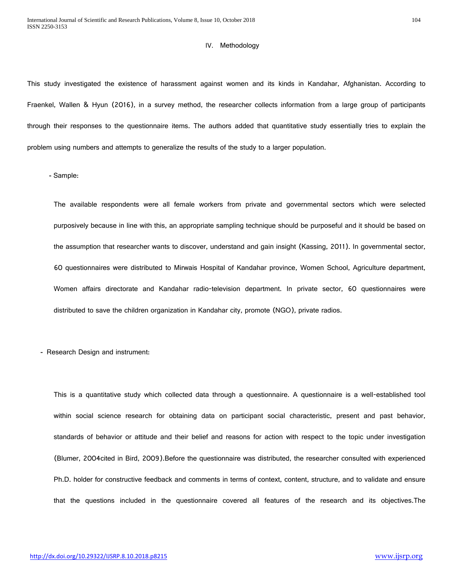#### IV. Methodology

This study investigated the existence of harassment against women and its kinds in Kandahar, Afghanistan. According to Fraenkel, Wallen & Hyun (2016), in a survey method, the researcher collects information from a large group of participants through their responses to the questionnaire items. The authors added that quantitative study essentially tries to explain the problem using numbers and attempts to generalize the results of the study to a larger population.

**-** Sample:

The available respondents were all female workers from private and governmental sectors which were selected purposively because in line with this, an appropriate sampling technique should be purposeful and it should be based on the assumption that researcher wants to discover, understand and gain insight (Kassing, 2011). In governmental sector, 60 questionnaires were distributed to Mirwais Hospital of Kandahar province, Women School, Agriculture department, Women affairs directorate and Kandahar radio-television department. In private sector, 60 questionnaires were distributed to save the children organization in Kandahar city, promote (NGO), private radios.

**-** Research Design and instrument:

This is a quantitative study which collected data through a questionnaire. A questionnaire is a well-established tool within social science research for obtaining data on participant social characteristic, present and past behavior, standards of behavior or attitude and their belief and reasons for action with respect to the topic under investigation (Blumer, 2004cited in Bird, 2009).Before the questionnaire was distributed, the researcher consulted with experienced Ph.D. holder for constructive feedback and comments in terms of context, content, structure, and to validate and ensure that the questions included in the questionnaire covered all features of the research and its objectives.The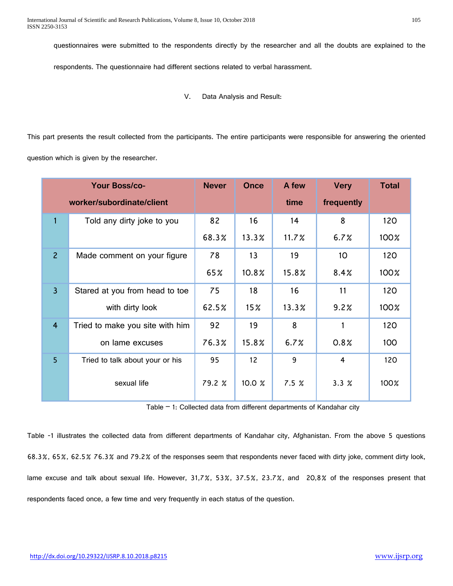questionnaires were submitted to the respondents directly by the researcher and all the doubts are explained to the

respondents. The questionnaire had different sections related to verbal harassment.

V. Data Analysis and Result:

This part presents the result collected from the participants. The entire participants were responsible for answering the oriented question which is given by the researcher.

| <b>Your Boss/co-</b>      |                                 | <b>Never</b> | <b>Once</b>     | A few    | <b>Very</b>     | <b>Total</b> |
|---------------------------|---------------------------------|--------------|-----------------|----------|-----------------|--------------|
| worker/subordinate/client |                                 |              |                 | time     | frequently      |              |
| $\overline{1}$            | Told any dirty joke to you      | 82           | 16              | 14       | 8               | 120          |
|                           |                                 | 68.3%        | 13.3%           | 11.7%    | 6.7%            | 100%         |
| $\overline{2}$            | Made comment on your figure     | 78           | 13              | 19       | 10 <sup>°</sup> | 120          |
|                           |                                 | 65%          | 10.8%           | 15.8%    | 8.4%            | 100%         |
| $\overline{3}$            | Stared at you from head to toe  | 75           | 18              | 16       | 11              | 120          |
|                           | with dirty look                 | 62.5%        | 15 <sub>2</sub> | $13.3\%$ | 9.2%            | 100%         |
| $\overline{4}$            | Tried to make you site with him | 92           | 19              | 8        |                 | 120          |
|                           | on lame excuses                 | 76.3%        | 15.8%           | 6.7%     | 0.8%            | 100          |
| 5                         | Tried to talk about your or his | 95           | 12 <sup>2</sup> | 9        | 4               | 120          |
|                           | sexual life                     | 79.2 %       | 10.0 %          | 7.5%     | 3.3%            | 100%         |

Table  $-1$ : Collected data from different departments of Kandahar city

Table -1 illustrates the collected data from different departments of Kandahar city, Afghanistan. From the above 5 questions 68.3%, 65%, 62.5% 76.3% and 79.2% of the responses seem that respondents never faced with dirty joke, comment dirty look, lame excuse and talk about sexual life. However, 31,7%, 53%, 37.5%, 23.7%, and 20,8% of the responses present that respondents faced once, a few time and very frequently in each status of the question.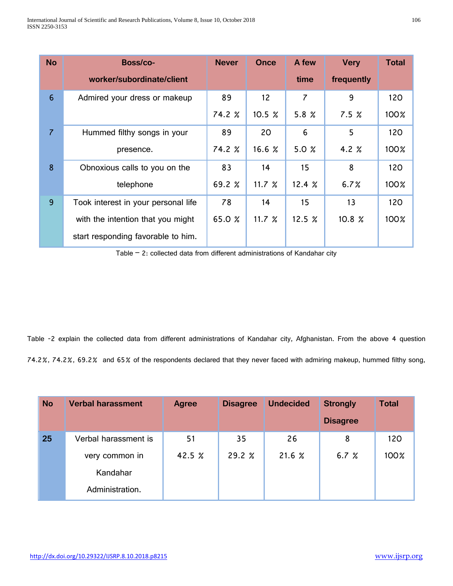| <b>No</b>      | Boss/co-                            | <b>Never</b> | Once     | A few          | <b>Very</b> | <b>Total</b> |
|----------------|-------------------------------------|--------------|----------|----------------|-------------|--------------|
|                | worker/subordinate/client           |              |          | time           | frequently  |              |
| $6\phantom{1}$ | Admired your dress or makeup        | 89           | 12       | $\overline{7}$ | 9           | 120          |
|                |                                     | 74.2 %       | 10.5%    | 5.8 $%$        | 7.5%        | 100%         |
| 7              | Hummed filthy songs in your         | 89           | 20       | 6              | 5           | 120          |
|                | presence.                           | 74.2 %       | 16.6%    | 5.0 $%$        | 4.2 $%$     | 100%         |
| 8              | Obnoxious calls to you on the       | 83           | 14       | 15             | 8           | 120          |
|                | telephone                           | 69.2 $%$     | 11.7 $%$ | 12.4%          | 6.7%        | 100%         |
| 9              | Took interest in your personal life | 78           | 14       | 15             | 13          | 120          |
|                | with the intention that you might   | 65.0 %       | 11.7 $%$ | 12.5~%         | 10.8 %      | 100%         |
|                | start responding favorable to him.  |              |          |                |             |              |

Table  $-$  2: collected data from different administrations of Kandahar city

Table -2 explain the collected data from different administrations of Kandahar city, Afghanistan. From the above 4 question 74.2%, 74.2%, 69.2% and 65% of the respondents declared that they never faced with admiring makeup, hummed filthy song,

| <b>No</b> | <b>Verbal harassment</b> | Agree  | <b>Disagree</b> | <b>Undecided</b> | <b>Strongly</b> | <b>Total</b> |
|-----------|--------------------------|--------|-----------------|------------------|-----------------|--------------|
|           |                          |        |                 |                  | <b>Disagree</b> |              |
| 25        | Verbal harassment is     | 51     | 35              | 26               | 8               | 120          |
|           | very common in           | 42.5 % | 29.2%           | 21.6%            | 6.7 $%$         | 100%         |
|           | Kandahar                 |        |                 |                  |                 |              |
|           | Administration.          |        |                 |                  |                 |              |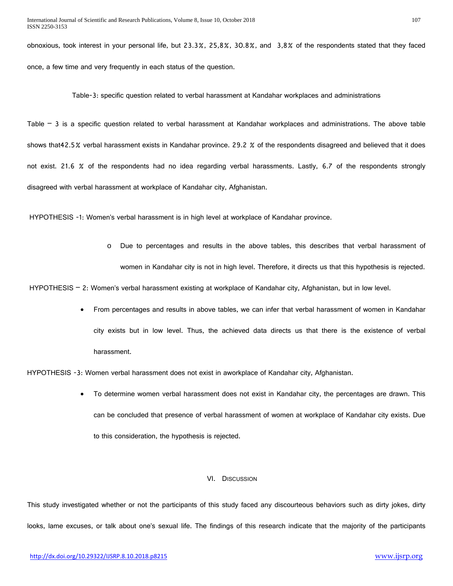obnoxious, took interest in your personal life, but 23.3%, 25,8%, 30.8%, and 3,8% of the respondents stated that they faced once, a few time and very frequently in each status of the question.

Table-3: specific question related to verbal harassment at Kandahar workplaces and administrations

Table – 3 is a specific question related to verbal harassment at Kandahar workplaces and administrations. The above table shows that42.5% verbal harassment exists in Kandahar province. 29.2 % of the respondents disagreed and believed that it does not exist. 21.6 % of the respondents had no idea regarding verbal harassments. Lastly, 6.7 of the respondents strongly disagreed with verbal harassment at workplace of Kandahar city, Afghanistan.

HYPOTHESIS -1: Women's verbal harassment is in high level at workplace of Kandahar province.

o Due to percentages and results in the above tables, this describes that verbal harassment of women in Kandahar city is not in high level. Therefore, it directs us that this hypothesis is rejected.

HYPOTHESIS - 2: Women's verbal harassment existing at workplace of Kandahar city, Afghanistan, but in low level.

• From percentages and results in above tables, we can infer that verbal harassment of women in Kandahar city exists but in low level. Thus, the achieved data directs us that there is the existence of verbal harassment.

HYPOTHESIS -3: Women verbal harassment does not exist in aworkplace of Kandahar city, Afghanistan.

• To determine women verbal harassment does not exist in Kandahar city, the percentages are drawn. This can be concluded that presence of verbal harassment of women at workplace of Kandahar city exists. Due to this consideration, the hypothesis is rejected.

#### VI. DISCUSSION

This study investigated whether or not the participants of this study faced any discourteous behaviors such as dirty jokes, dirty looks, lame excuses, or talk about one's sexual life. The findings of this research indicate that the majority of the participants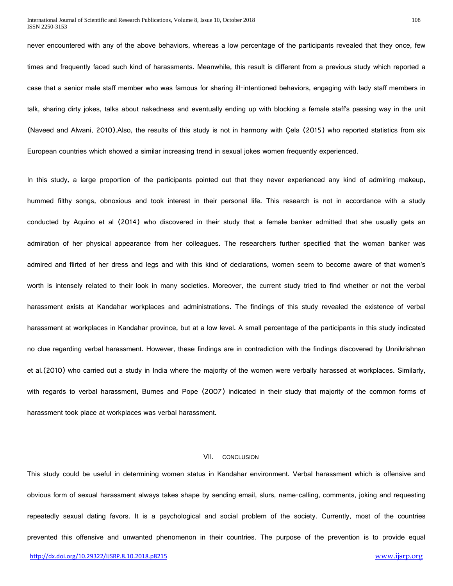never encountered with any of the above behaviors, whereas a low percentage of the participants revealed that they once, few times and frequently faced such kind of harassments. Meanwhile, this result is different from a previous study which reported a case that a senior male staff member who was famous for sharing ill-intentioned behaviors, engaging with lady staff members in talk, sharing dirty jokes, talks about nakedness and eventually ending up with blocking a female staff's passing way in the unit (Naveed and Alwani, 2010).Also, the results of this study is not in harmony with Çela (2015) who reported statistics from six European countries which showed a similar increasing trend in sexual jokes women frequently experienced.

In this study, a large proportion of the participants pointed out that they never experienced any kind of admiring makeup, hummed filthy songs, obnoxious and took interest in their personal life. This research is not in accordance with a study conducted by Aquino et al (2014) who discovered in their study that a female banker admitted that she usually gets an admiration of her physical appearance from her colleagues. The researchers further specified that the woman banker was admired and flirted of her dress and legs and with this kind of declarations, women seem to become aware of that women's worth is intensely related to their look in many societies. Moreover, the current study tried to find whether or not the verbal harassment exists at Kandahar workplaces and administrations. The findings of this study revealed the existence of verbal harassment at workplaces in Kandahar province, but at a low level. A small percentage of the participants in this study indicated no clue regarding verbal harassment. However, these findings are in contradiction with the findings discovered by Unnikrishnan et al.(2010) who carried out a study in India where the majority of the women were verbally harassed at workplaces. Similarly, with regards to verbal harassment, Burnes and Pope (2007) indicated in their study that majority of the common forms of harassment took place at workplaces was verbal harassment.

## VII. CONCLUSION

This study could be useful in determining women status in Kandahar environment. Verbal harassment which is offensive and obvious form of sexual harassment always takes shape by sending email, slurs, name-calling, comments, joking and requesting repeatedly sexual dating favors. It is a psychological and social problem of the society. Currently, most of the countries prevented this offensive and unwanted phenomenon in their countries. The purpose of the prevention is to provide equal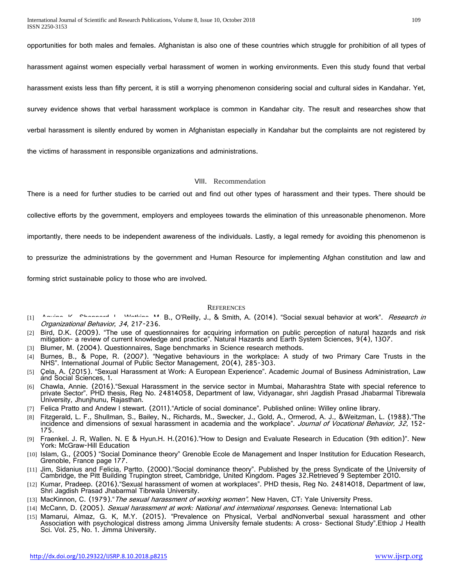opportunities for both males and females. Afghanistan is also one of these countries which struggle for prohibition of all types of

harassment against women especially verbal harassment of women in working environments. Even this study found that verbal

harassment exists less than fifty percent, it is still a worrying phenomenon considering social and cultural sides in Kandahar. Yet,

survey evidence shows that verbal harassment workplace is common in Kandahar city. The result and researches show that

verbal harassment is silently endured by women in Afghanistan especially in Kandahar but the complaints are not registered by

the victims of harassment in responsible organizations and administrations.

#### VIII. Recommendation

There is a need for further studies to be carried out and find out other types of harassment and their types. There should be

collective efforts by the government, employers and employees towards the elimination of this unreasonable phenomenon. More

importantly, there needs to be independent awareness of the individuals. Lastly, a legal remedy for avoiding this phenomenon is

to pressurize the administrations by the government and Human Resource for implementing Afghan constitution and law and

forming strict sustainable policy to those who are involved.

#### **REFERENCES**

- [1] Aquino, K., Sheppard, L., Mathins, M. B., O'Reilly, J., & Smith, A. (2014). "Social sexual behavior at work". Research in Organizational Behavior, <sup>34</sup>, 217-236.
- [2] Bird, D.K. (2009). "The use of questionnaires for acquiring information on public perception of natural hazards and risk mitigation- a review of current knowledge and practice". Natural Hazards and Earth System Sciences, 9(4), 1307.
- [3] Blumer, M. (2004). Questionnaires, Sage benchmarks in Science research methods.
- [4] Burnes, B., & Pope, R. (2007). "Negative behaviours in the workplace: A study of two Primary Care Trusts in the NHS". International Journal of Public Sector Management, 20(4), 285-303.
- [5] Çela, A. (2015). "Sexual Harassment at Work: A European Experience". Academic Journal of Business Administration, Law and Social Sciences, 1.
- [6] Chawla, Annie. (2016)."Sexual Harassment in the service sector in Mumbai, Maharashtra State with special reference to private Sector". PHD thesis, Reg No. 24814058, Department of law, Vidyanagar, shri Jagdish Prasad Jhabarmal Tibrewala University, Jhunjhunu, Rajasthan.
- [7] Felica Pratto and Andew l stewart. (2011)."Article of social dominance". Published online: Willey online library.
- [8] Fitzgerald, L. F., Shullman, S., Bailey, N., Richards, M., Swecker, J., Gold, A., Ormerod, A. J., &Weitzman, L. (1988)."The incidence and dimensions of sexual harassment in academia and the workplace". *Journal of Vocational Behavior, 32*, 152-<br>175.
- [9] Fraenkel. J. R, Wallen. N. E & Hyun.H. H.(2016)."How to Design and Evaluate Research in Education (9th edition)". New York: McGraw-Hill Education
- [10] Islam, G., (2005) "Social Dominance theory" Grenoble Ecole de Management and Insper Institution for Education Research, Grenoble, France page 177.
- [11] Jim, Sidanius and Felicia, Partto. (2000). "Social dominance theory". Published by the press Syndicate of the University of Cambridge, the Pitt Building Trupington street, Cambridge, United Kingdom. Pages 32.Retrieved 9 September 2010.
- [12] Kumar, Pradeep. (2016). "Sexual harassment of women at workplaces". PHD thesis, Reg No. 24814018, Department of law, Shri Jagdish Prasad Jhabarmal Tibrwala University.
- [13] MacKinnon, C. (1979). "The sexual harassment of working women". New Haven, CT: Yale University Press.
- [14] McCann, D. (2005). Sexual harassment at work: National and international responses. Geneva: International Lab
- [15] Mamarui, Almaz, G. K, M.Y. (2015). "Prevalence on Physical, Verbal andNonverbal sexual harassment and other Association with psychological distress among Jimma University female students: A cross- Sectional Study".Ethiop J Health Sci. Vol. 25, No. 1. Jimma University.